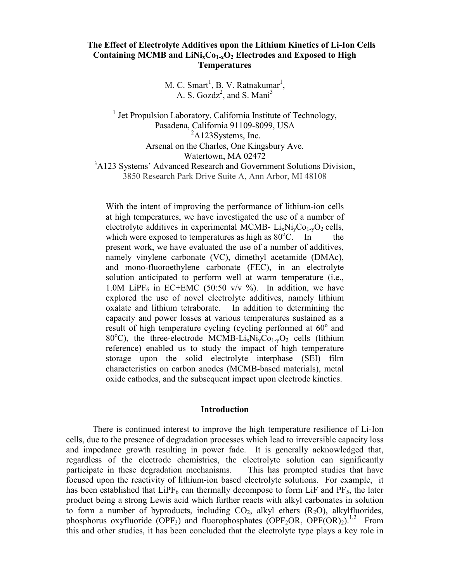# **The Effect of Electrolyte Additives upon the Lithium Kinetics of Li-Ion Cells**  Containing MCMB and LiNi<sub>x</sub>Co<sub>1-x</sub>O<sub>2</sub> Electrodes and Exposed to High **Temperatures**

 $M. C.$  Smart<sup>1</sup>, B. V. Ratnakumar<sup>1</sup>, A. S.  $Gozdz^2$ , and S. Mani<sup>3</sup>

<sup>1</sup> Jet Propulsion Laboratory, California Institute of Technology, Pasadena, California 91109-8099, USA  ${}^{2}$ A123Systems, Inc. Arsenal on the Charles, One Kingsbury Ave. Watertown, MA 02472 <sup>3</sup>A123 Systems' Advanced Research and Government Solutions Division, 3850 Research Park Drive Suite A, Ann Arbor, MI 48108

With the intent of improving the performance of lithium-ion cells at high temperatures, we have investigated the use of a number of electrolyte additives in experimental MCMB-  $Li_xNi_yCo_{1-y}O_2$  cells, which were exposed to temperatures as high as  $80^{\circ}$ C. In the present work, we have evaluated the use of a number of additives, namely vinylene carbonate (VC), dimethyl acetamide (DMAc), and mono-fluoroethylene carbonate (FEC), in an electrolyte solution anticipated to perform well at warm temperature (i.e., 1.0M LiPF<sub>6</sub> in EC+EMC (50:50 v/v  $\%$ ). In addition, we have explored the use of novel electrolyte additives, namely lithium oxalate and lithium tetraborate. In addition to determining the capacity and power losses at various temperatures sustained as a result of high temperature cycling (cycling performed at  $60^{\circ}$  and 80°C), the three-electrode MCMB-Li<sub>x</sub>Ni<sub>y</sub>Co<sub>1-y</sub>O<sub>2</sub> cells (lithium reference) enabled us to study the impact of high temperature storage upon the solid electrolyte interphase (SEI) film characteristics on carbon anodes (MCMB-based materials), metal oxide cathodes, and the subsequent impact upon electrode kinetics.

#### **Introduction**

There is continued interest to improve the high temperature resilience of Li-Ion cells, due to the presence of degradation processes which lead to irreversible capacity loss and impedance growth resulting in power fade. It is generally acknowledged that, regardless of the electrode chemistries, the electrolyte solution can significantly participate in these degradation mechanisms. This has prompted studies that have focused upon the reactivity of lithium-ion based electrolyte solutions. For example, it has been established that  $\text{LiPF}_6$  can thermally decompose to form  $\text{LiF}$  and  $\text{PF}_5$ , the later product being a strong Lewis acid which further reacts with alkyl carbonates in solution to form a number of byproducts, including  $CO<sub>2</sub>$ , alkyl ethers  $(R<sub>2</sub>O)$ , alkylfluorides, phosphorus oxyfluoride (OPF<sub>3</sub>) and fluorophosphates (OPF<sub>2</sub>OR, OPF(OR)<sub>2</sub>).<sup>1,2</sup> From this and other studies, it has been concluded that the electrolyte type plays a key role in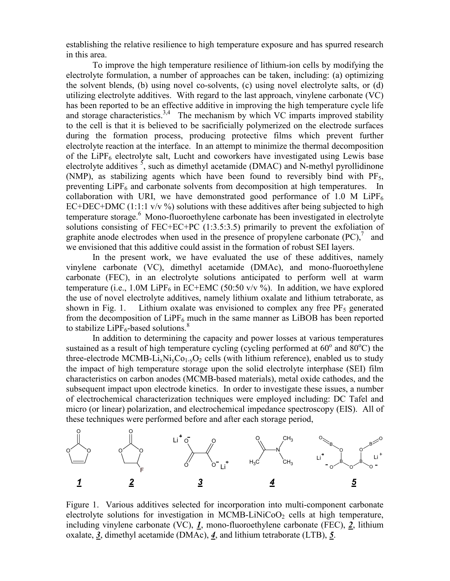establishing the relative resilience to high temperature exposure and has spurred research in this area.

To improve the high temperature resilience of lithium-ion cells by modifying the electrolyte formulation, a number of approaches can be taken, including: (a) optimizing the solvent blends, (b) using novel co-solvents, (c) using novel electrolyte salts, or (d) utilizing electrolyte additives. With regard to the last approach, vinylene carbonate (VC) has been reported to be an effective additive in improving the high temperature cycle life and storage characteristics.<sup>3,4</sup> The mechanism by which VC imparts improved stability to the cell is that it is believed to be sacrificially polymerized on the electrode surfaces during the formation process, producing protective films which prevent further electrolyte reaction at the interface. In an attempt to minimize the thermal decomposition of the LiPF<sub>6</sub> electrolyte salt, Lucht and coworkers have investigated using Lewis base electrolyte additives  $\frac{5}{7}$ , such as dimethyl acetamide (DMAC) and N-methyl pyrollidinone (NMP), as stabilizing agents which have been found to reversibly bind with  $PF_5$ , preventing  $LiPF_6$  and carbonate solvents from decomposition at high temperatures. In collaboration with URI, we have demonstrated good performance of 1.0 M LiPF<sub>6</sub> EC+DEC+DMC  $(1:1:1 \text{ y/y } \%)$  solutions with these additives after being subjected to high temperature storage.<sup>6</sup> Mono-fluoroethylene carbonate has been investigated in electrolyte solutions consisting of FEC+EC+PC (1:3.5:3.5) primarily to prevent the exfoliation of graphite anode electrodes when used in the presence of propylene carbonate  $(PC)$ , and we envisioned that this additive could assist in the formation of robust SEI layers.

In the present work, we have evaluated the use of these additives, namely vinylene carbonate (VC), dimethyl acetamide (DMAc), and mono-fluoroethylene carbonate (FEC), in an electrolyte solutions anticipated to perform well at warm temperature (i.e., 1.0M LiPF<sub>6</sub> in EC+EMC (50:50 v/v %). In addition, we have explored the use of novel electrolyte additives, namely lithium oxalate and lithium tetraborate, as shown in Fig. 1. Lithium oxalate was envisioned to complex any free  $PF_5$  generated from the decomposition of  $LiPF_6$  much in the same manner as  $LiBOB$  has been reported to stabilize  $LIPF_6$ -based solutions.<sup>8</sup>

In addition to determining the capacity and power losses at various temperatures sustained as a result of high temperature cycling (cycling performed at  $60^{\circ}$  and  $80^{\circ}$ C) the three-electrode MCMB-Li<sub>x</sub>Ni<sub>y</sub>C<sub>01-y</sub>O<sub>2</sub> cells (with lithium reference), enabled us to study the impact of high temperature storage upon the solid electrolyte interphase (SEI) film characteristics on carbon anodes (MCMB-based materials), metal oxide cathodes, and the subsequent impact upon electrode kinetics. In order to investigate these issues, a number of electrochemical characterization techniques were employed including: DC Tafel and micro (or linear) polarization, and electrochemical impedance spectroscopy (EIS). All of these techniques were performed before and after each storage period,



Figure 1. Various additives selected for incorporation into multi-component carbonate electrolyte solutions for investigation in MCMB-LiNiCoO<sub>2</sub> cells at high temperature, including vinylene carbonate (VC), *1*, mono-fluoroethylene carbonate (FEC), *2*, lithium oxalate, *3*, dimethyl acetamide (DMAc), *4*, and lithium tetraborate (LTB), *5*.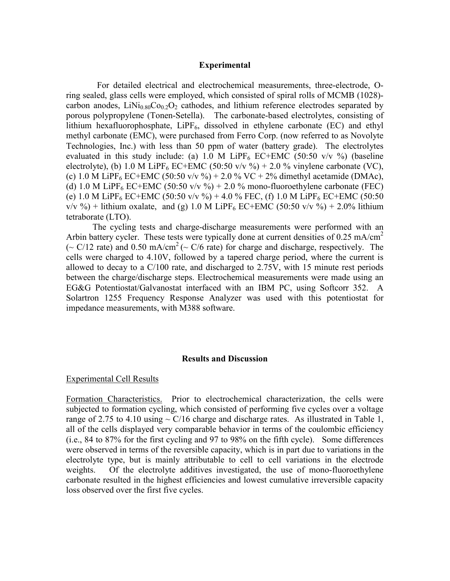#### **Experimental**

 For detailed electrical and electrochemical measurements, three-electrode, Oring sealed, glass cells were employed, which consisted of spiral rolls of MCMB (1028) carbon anodes,  $LiNi<sub>0.80</sub>Co<sub>0.2</sub>O<sub>2</sub>$  cathodes, and lithium reference electrodes separated by porous polypropylene (Tonen-Setella). The carbonate-based electrolytes, consisting of lithium hexafluorophosphate, LiPF<sub>6</sub>, dissolved in ethylene carbonate (EC) and ethyl methyl carbonate (EMC), were purchased from Ferro Corp. (now referred to as Novolyte Technologies, Inc.) with less than 50 ppm of water (battery grade). The electrolytes evaluated in this study include: (a) 1.0 M LiPF<sub>6</sub> EC+EMC (50:50 v/v %) (baseline electrolyte), (b) 1.0 M LiPF<sub>6</sub> EC+EMC (50:50 v/v %) + 2.0 % vinylene carbonate (VC), (c) 1.0 M LiPF<sub>6</sub> EC+EMC (50:50 v/v %) + 2.0 % VC + 2% dimethyl acetamide (DMAc), (d) 1.0 M LiPF<sub>6</sub> EC+EMC (50:50 v/v  $\%$ ) + 2.0 % mono-fluoroethylene carbonate (FEC) (e) 1.0 M LiPF<sub>6</sub> EC+EMC (50:50 v/v %) + 4.0 % FEC, (f) 1.0 M LiPF<sub>6</sub> EC+EMC (50:50  $v/v$  %) + lithium oxalate, and (g) 1.0 M LiPF<sub>6</sub> EC+EMC (50:50  $v/v$  %) + 2.0% lithium tetraborate (LTO).

The cycling tests and charge-discharge measurements were performed with an Arbin battery cycler. These tests were typically done at current densities of  $0.25 \text{ mA/cm}^2$ (~ C/12 rate) and 0.50 mA/cm<sup>2</sup> (~ C/6 rate) for charge and discharge, respectively. The cells were charged to 4.10V, followed by a tapered charge period, where the current is allowed to decay to a C/100 rate, and discharged to 2.75V, with 15 minute rest periods between the charge/discharge steps. Electrochemical measurements were made using an EG&G Potentiostat/Galvanostat interfaced with an IBM PC, using Softcorr 352. A Solartron 1255 Frequency Response Analyzer was used with this potentiostat for impedance measurements, with M388 software.

### **Results and Discussion**

#### Experimental Cell Results

Formation Characteristics. Prior to electrochemical characterization, the cells were subjected to formation cycling, which consisted of performing five cycles over a voltage range of 2.75 to 4.10 using  $\sim$  C/16 charge and discharge rates. As illustrated in Table 1, all of the cells displayed very comparable behavior in terms of the coulombic efficiency (i.e., 84 to 87% for the first cycling and 97 to 98% on the fifth cycle). Some differences were observed in terms of the reversible capacity, which is in part due to variations in the electrolyte type, but is mainly attributable to cell to cell variations in the electrode weights. Of the electrolyte additives investigated, the use of mono-fluoroethylene carbonate resulted in the highest efficiencies and lowest cumulative irreversible capacity loss observed over the first five cycles.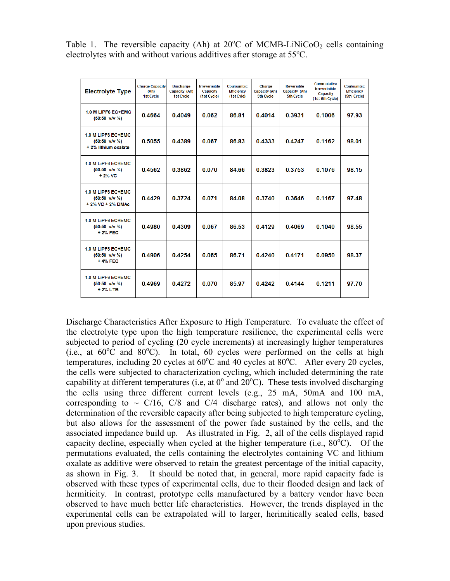Table 1. The reversible capacity (Ah) at  $20^{\circ}$ C of MCMB-LiNiCoO<sub>2</sub> cells containing electrolytes with and without various additives after storage at 55°C.

| <b>Electrolyte Type</b>                                                  | <b>Charge Capacity</b><br>(Ah)<br>1st Cycle | <b>Discharge</b><br>Capacity (Ah)<br><b>1st Cycle</b> | <b>Irreverisible</b><br>Capacity<br>(1st Cycle) | <b>Couloumbic</b><br><b>Efficiency</b><br>(1st Cyle) | Charge<br><b>Capacity (Ah)</b><br><b>5th Cycle</b> | <b>Reversible</b><br>Capacity (Ah)<br>5th Cycle | <b>Cummulative</b><br><b>Irreverisible</b><br>Capacity<br>(1st-5th Cycle) | <b>Couloumbic</b><br><b>Efficiency</b><br>(5th Cycle) |
|--------------------------------------------------------------------------|---------------------------------------------|-------------------------------------------------------|-------------------------------------------------|------------------------------------------------------|----------------------------------------------------|-------------------------------------------------|---------------------------------------------------------------------------|-------------------------------------------------------|
| 1.0 M LiPF6 EC+EMC<br>$(50:50 \text{ v/v } \%)$                          | 0.4664                                      | 0.4049                                                | 0.062                                           | 86.81                                                | 0.4014                                             | 0.3931                                          | 0.1006                                                                    | 97.93                                                 |
| 1.0 M LiPF6 EC+EMC<br>$(50:50 \text{ v/v } \%)$<br>+ 2% lithium oxalate  | 0.5055                                      | 0.4389                                                | 0.067                                           | 86.83                                                | 0.4333                                             | 0.4247                                          | 0.1162                                                                    | 98.01                                                 |
| 1.0 M LiPF6 EC+EMC<br>$(50:50 \text{ v/v } \%)$<br>$+2\%$ VC             | 0.4562                                      | 0.3862                                                | 0.070                                           | 84.66                                                | 0.3823                                             | 0.3753                                          | 0.1076                                                                    | 98.15                                                 |
| 1.0 M LiPF6 EC+EMC<br>$(50:50 \text{ v/v } \%)$<br>$+2\%$ VC $+2\%$ DMAc | 0.4429                                      | 0.3724                                                | 0.071                                           | 84.08                                                | 0.3740                                             | 0.3646                                          | 0.1167                                                                    | 97.48                                                 |
| 1.0 M LiPF6 EC+EMC<br>$(50:50 \text{ v/v } \%)$<br>+ 2% FEC              | 0.4980                                      | 0.4309                                                | 0.067                                           | 86.53                                                | 0.4129                                             | 0.4069                                          | 0.1040                                                                    | 98.55                                                 |
| 1.0 M LiPF6 EC+EMC<br>$(50:50 \text{ v/v } \%)$<br>+4% FEC               | 0.4906                                      | 0.4254                                                | 0.065                                           | 86.71                                                | 0.4240                                             | 0.4171                                          | 0.0950                                                                    | 98.37                                                 |
| 1.0 M LiPF6 EC+EMC<br>$(50:50 \text{ v/v } \%)$<br>+2% LTB               | 0.4969                                      | 0.4272                                                | 0.070                                           | 85.97                                                | 0.4242                                             | 0.4144                                          | 0.1211                                                                    | 97.70                                                 |

Discharge Characteristics After Exposure to High Temperature. To evaluate the effect of the electrolyte type upon the high temperature resilience, the experimental cells were subjected to period of cycling (20 cycle increments) at increasingly higher temperatures  $(i.e., at 60^{\circ}\text{C} and 80^{\circ}\text{C}).$  In total, 60 cycles were performed on the cells at high temperatures, including 20 cycles at  $60^{\circ}$ C and 40 cycles at  $80^{\circ}$ C. After every 20 cycles, the cells were subjected to characterization cycling, which included determining the rate capability at different temperatures (i.e, at  $0^{\circ}$  and  $20^{\circ}$ C). These tests involved discharging the cells using three different current levels (e.g., 25 mA, 50mA and 100 mA, corresponding to  $\sim$  C/16, C/8 and C/4 discharge rates), and allows not only the determination of the reversible capacity after being subjected to high temperature cycling, but also allows for the assessment of the power fade sustained by the cells, and the associated impedance build up. As illustrated in Fig. 2, all of the cells displayed rapid capacity decline, especially when cycled at the higher temperature (i.e.,  $80^{\circ}$ C). Of the permutations evaluated, the cells containing the electrolytes containing VC and lithium oxalate as additive were observed to retain the greatest percentage of the initial capacity, as shown in Fig. 3. It should be noted that, in general, more rapid capacity fade is observed with these types of experimental cells, due to their flooded design and lack of hermiticity. In contrast, prototype cells manufactured by a battery vendor have been observed to have much better life characteristics. However, the trends displayed in the experimental cells can be extrapolated will to larger, herimitically sealed cells, based upon previous studies.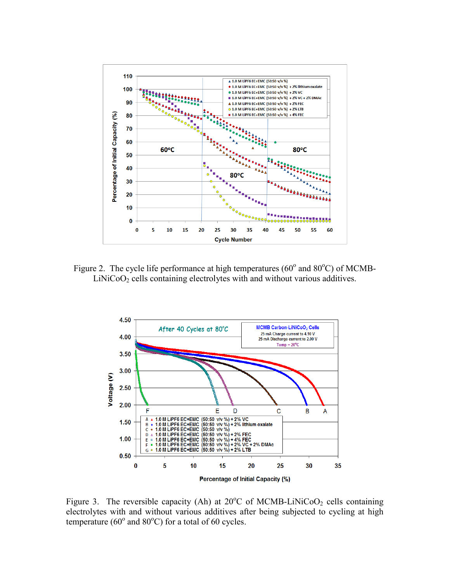

Figure 2. The cycle life performance at high temperatures ( $60^{\circ}$  and  $80^{\circ}$ C) of MCMB- $LiNiCoO<sub>2</sub>$  cells containing electrolytes with and without various additives.



Figure 3. The reversible capacity (Ah) at  $20^{\circ}$ C of MCMB-LiNiCoO<sub>2</sub> cells containing electrolytes with and without various additives after being subjected to cycling at high temperature ( $60^{\circ}$  and  $80^{\circ}$ C) for a total of 60 cycles.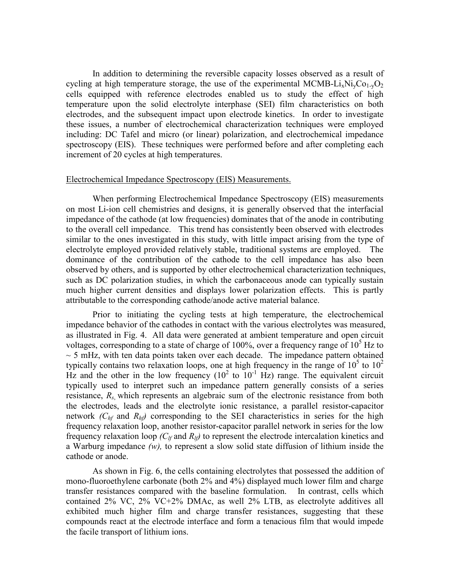In addition to determining the reversible capacity losses observed as a result of cycling at high temperature storage, the use of the experimental MCMB-Li<sub>x</sub>Ni<sub>v</sub>Co<sub>1-v</sub>O<sub>2</sub> cells equipped with reference electrodes enabled us to study the effect of high temperature upon the solid electrolyte interphase (SEI) film characteristics on both electrodes, and the subsequent impact upon electrode kinetics. In order to investigate these issues, a number of electrochemical characterization techniques were employed including: DC Tafel and micro (or linear) polarization, and electrochemical impedance spectroscopy (EIS). These techniques were performed before and after completing each increment of 20 cycles at high temperatures.

### Electrochemical Impedance Spectroscopy (EIS) Measurements.

When performing Electrochemical Impedance Spectroscopy (EIS) measurements on most Li-ion cell chemistries and designs, it is generally observed that the interfacial impedance of the cathode (at low frequencies) dominates that of the anode in contributing to the overall cell impedance. This trend has consistently been observed with electrodes similar to the ones investigated in this study, with little impact arising from the type of electrolyte employed provided relatively stable, traditional systems are employed. dominance of the contribution of the cathode to the cell impedance has also been observed by others, and is supported by other electrochemical characterization techniques, such as DC polarization studies, in which the carbonaceous anode can typically sustain much higher current densities and displays lower polarization effects. This is partly attributable to the corresponding cathode/anode active material balance.

Prior to initiating the cycling tests at high temperature, the electrochemical impedance behavior of the cathodes in contact with the various electrolytes was measured, as illustrated in Fig. 4. All data were generated at ambient temperature and open circuit voltages, corresponding to a state of charge of 100%, over a frequency range of  $10<sup>5</sup>$  Hz to  $\sim$  5 mHz, with ten data points taken over each decade. The impedance pattern obtained typically contains two relaxation loops, one at high frequency in the range of  $10^5$  to  $10^2$ Hz and the other in the low frequency  $(10^2 \text{ to } 10^{-1} \text{ Hz})$  range. The equivalent circuit typically used to interpret such an impedance pattern generally consists of a series resistance, *Rs*, which represents an algebraic sum of the electronic resistance from both the electrodes, leads and the electrolyte ionic resistance, a parallel resistor-capacitor network  $(C<sub>hf</sub>$  and  $R<sub>hf</sub>$ ) corresponding to the SEI characteristics in series for the high frequency relaxation loop, another resistor-capacitor parallel network in series for the low frequency relaxation loop *(Clf* and *Rlf)* to represent the electrode intercalation kinetics and a Warburg impedance *(w),* to represent a slow solid state diffusion of lithium inside the cathode or anode.

As shown in Fig. 6, the cells containing electrolytes that possessed the addition of mono-fluoroethylene carbonate (both 2% and 4%) displayed much lower film and charge transfer resistances compared with the baseline formulation. In contrast, cells which contained 2% VC, 2% VC+2% DMAc, as well 2% LTB, as electrolyte additives all exhibited much higher film and charge transfer resistances, suggesting that these compounds react at the electrode interface and form a tenacious film that would impede the facile transport of lithium ions.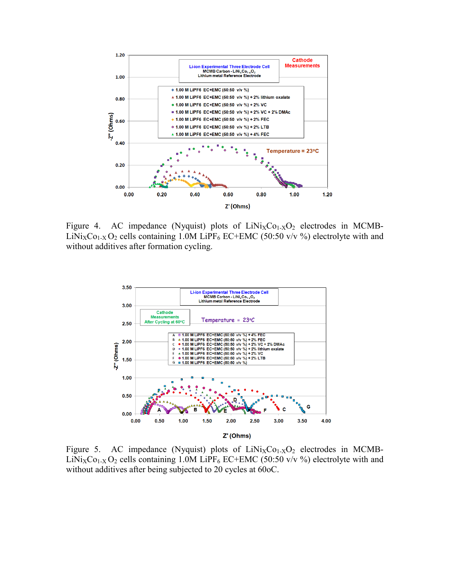

Figure 4. AC impedance (Nyquist) plots of  $LiNi<sub>X</sub>Co<sub>1-X</sub>O<sub>2</sub>$  electrodes in MCMB-LiNi<sub>X</sub>Co<sub>1-X</sub> O<sub>2</sub> cells containing 1.0M LiPF<sub>6</sub> EC+EMC (50:50 v/v %) electrolyte with and without additives after formation cycling.



Figure 5. AC impedance (Nyquist) plots of  $LiNi<sub>X</sub>Co<sub>1-X</sub>O<sub>2</sub>$  electrodes in MCMB-LiNi<sub>X</sub>Co<sub>1-X</sub> O<sub>2</sub> cells containing 1.0M LiPF<sub>6</sub> EC+EMC (50:50 v/v %) electrolyte with and without additives after being subjected to 20 cycles at 60oC.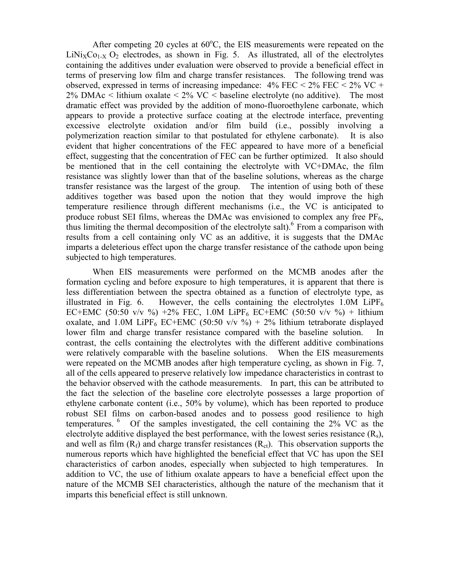After competing 20 cycles at  $60^{\circ}$ C, the EIS measurements were repeated on the  $LiNi<sub>X</sub>Co<sub>1-X</sub> O<sub>2</sub>$  electrodes, as shown in Fig. 5. As illustrated, all of the electrolytes containing the additives under evaluation were observed to provide a beneficial effect in terms of preserving low film and charge transfer resistances. The following trend was observed, expressed in terms of increasing impedance:  $4\%$  FEC <  $2\%$  FEC <  $2\%$  VC + 2% DMAc  $\lt$  lithium oxalate  $\lt$  2% VC  $\lt$  baseline electrolyte (no additive). The most dramatic effect was provided by the addition of mono-fluoroethylene carbonate, which appears to provide a protective surface coating at the electrode interface, preventing excessive electrolyte oxidation and/or film build (i.e., possibly involving a polymerization reaction similar to that postulated for ethylene carbonate). It is also evident that higher concentrations of the FEC appeared to have more of a beneficial effect, suggesting that the concentration of FEC can be further optimized. It also should be mentioned that in the cell containing the electrolyte with VC+DMAc, the film resistance was slightly lower than that of the baseline solutions, whereas as the charge transfer resistance was the largest of the group. The intention of using both of these additives together was based upon the notion that they would improve the high temperature resilience through different mechanisms (i.e., the VC is anticipated to produce robust SEI films, whereas the DMAc was envisioned to complex any free  $PF_6$ , thus limiting the thermal decomposition of the electrolyte salt).<sup>6</sup> From a comparison with results from a cell containing only VC as an additive, it is suggests that the DMAc imparts a deleterious effect upon the charge transfer resistance of the cathode upon being subjected to high temperatures.

When EIS measurements were performed on the MCMB anodes after the formation cycling and before exposure to high temperatures, it is apparent that there is less differentiation between the spectra obtained as a function of electrolyte type, as illustrated in Fig. 6. However, the cells containing the electrolytes  $1.0M$  LiPF<sub>6</sub> EC+EMC (50:50 v/v %) +2% FEC, 1.0M LiPF<sub>6</sub> EC+EMC (50:50 v/v %) + lithium oxalate, and 1.0M LiPF<sub>6</sub> EC+EMC (50:50 v/v %) + 2% lithium tetraborate displayed lower film and charge transfer resistance compared with the baseline solution. In contrast, the cells containing the electrolytes with the different additive combinations were relatively comparable with the baseline solutions. When the EIS measurements were repeated on the MCMB anodes after high temperature cycling, as shown in Fig. 7, all of the cells appeared to preserve relatively low impedance characteristics in contrast to the behavior observed with the cathode measurements. In part, this can be attributed to the fact the selection of the baseline core electrolyte possesses a large proportion of ethylene carbonate content (i.e., 50% by volume), which has been reported to produce robust SEI films on carbon-based anodes and to possess good resilience to high temperatures. 6 Of the samples investigated, the cell containing the 2% VC as the electrolyte additive displayed the best performance, with the lowest series resistance  $(R_s)$ , and well as film  $(R_f)$  and charge transfer resistances  $(R_{ct})$ . This observation supports the numerous reports which have highlighted the beneficial effect that VC has upon the SEI characteristics of carbon anodes, especially when subjected to high temperatures. In addition to VC, the use of lithium oxalate appears to have a beneficial effect upon the nature of the MCMB SEI characteristics, although the nature of the mechanism that it imparts this beneficial effect is still unknown.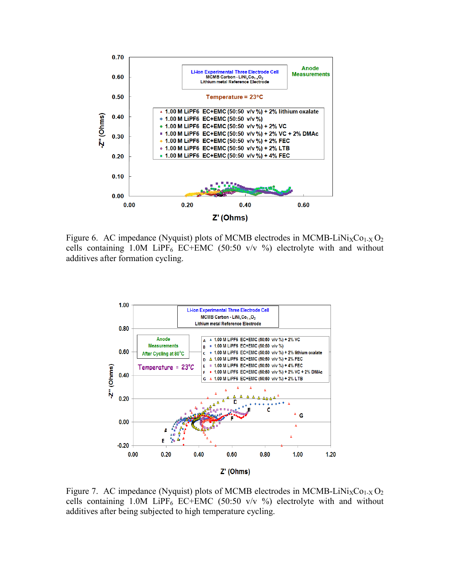

Figure 6. AC impedance (Nyquist) plots of MCMB electrodes in MCMB-LiNi<sub>X</sub>Co<sub>1-X</sub> O<sub>2</sub> cells containing 1.0M LiPF<sub>6</sub> EC+EMC (50:50 v/v %) electrolyte with and without additives after formation cycling.



Figure 7. AC impedance (Nyquist) plots of MCMB electrodes in MCMB-LiNi<sub>X</sub>Co<sub>1-X</sub> O<sub>2</sub> cells containing 1.0M LiPF<sub>6</sub> EC+EMC (50:50 v/v  $\%$ ) electrolyte with and without additives after being subjected to high temperature cycling.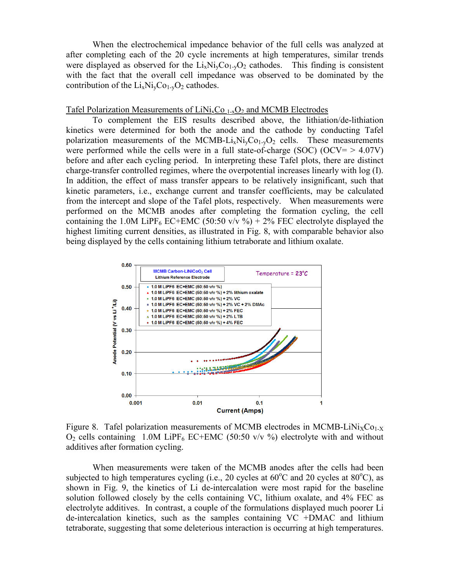When the electrochemical impedance behavior of the full cells was analyzed at after completing each of the 20 cycle increments at high temperatures, similar trends were displayed as observed for the  $Li_xNi_xCo_{1-x}O_2$  cathodes. This finding is consistent with the fact that the overall cell impedance was observed to be dominated by the contribution of the  $Li_xNi_vCo_{1-v}O_2$  cathodes.

## Tafel Polarization Measurements of LiNi<sub>x</sub>Co  $_{1-x}O_2$  and MCMB Electrodes

To complement the EIS results described above, the lithiation/de-lithiation kinetics were determined for both the anode and the cathode by conducting Tafel polarization measurements of the MCMB-Li<sub>x</sub>Ni<sub>v</sub>Co<sub>1-v</sub>O<sub>2</sub> cells. These measurements were performed while the cells were in a full state-of-charge (SOC) (OCV=  $> 4.07V$ ) before and after each cycling period. In interpreting these Tafel plots, there are distinct charge-transfer controlled regimes, where the overpotential increases linearly with log (I). In addition, the effect of mass transfer appears to be relatively insignificant, such that kinetic parameters, i.e., exchange current and transfer coefficients, may be calculated from the intercept and slope of the Tafel plots, respectively. When measurements were performed on the MCMB anodes after completing the formation cycling, the cell containing the 1.0M LiPF<sub>6</sub> EC+EMC (50:50 v/v %) + 2% FEC electrolyte displayed the highest limiting current densities, as illustrated in Fig. 8, with comparable behavior also being displayed by the cells containing lithium tetraborate and lithium oxalate.



Figure 8. Tafel polarization measurements of MCMB electrodes in MCMB-LiNi<sub>X</sub>Co<sub>1-X</sub>  $O_2$  cells containing 1.0M LiPF<sub>6</sub> EC+EMC (50:50 v/v %) electrolyte with and without additives after formation cycling.

When measurements were taken of the MCMB anodes after the cells had been subjected to high temperatures cycling (i.e., 20 cycles at  $60^{\circ}$ C and 20 cycles at  $80^{\circ}$ C), as shown in Fig. 9, the kinetics of Li de-intercalation were most rapid for the baseline solution followed closely by the cells containing VC, lithium oxalate, and 4% FEC as electrolyte additives. In contrast, a couple of the formulations displayed much poorer Li de-intercalation kinetics, such as the samples containing VC +DMAC and lithium tetraborate, suggesting that some deleterious interaction is occurring at high temperatures.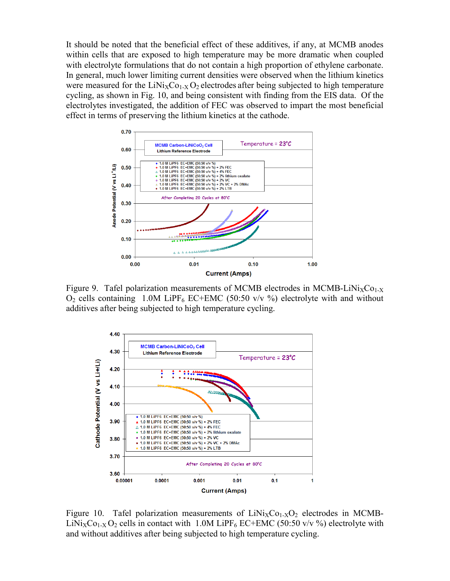It should be noted that the beneficial effect of these additives, if any, at MCMB anodes within cells that are exposed to high temperature may be more dramatic when coupled with electrolyte formulations that do not contain a high proportion of ethylene carbonate. In general, much lower limiting current densities were observed when the lithium kinetics were measured for the  $LiNi<sub>X</sub>Co<sub>1-X</sub>O<sub>2</sub>$  electrodes after being subjected to high temperature cycling, as shown in Fig. 10, and being consistent with finding from the EIS data. Of the electrolytes investigated, the addition of FEC was observed to impart the most beneficial effect in terms of preserving the lithium kinetics at the cathode.



 $O_2$  cells containing 1.0M LiPF<sub>6</sub> EC+EMC (50:50 v/v %) electrolyte with and without additives after being subjected to high temperature cycling.



Figure 10. Tafel polarization measurements of  $LiNi<sub>X</sub>Co<sub>1-X</sub>O<sub>2</sub>$  electrodes in MCMB-LiNi<sub>X</sub>Co<sub>1-X</sub> O<sub>2</sub> cells in contact with 1.0M LiPF<sub>6</sub> EC+EMC (50:50 v/v %) electrolyte with and without additives after being subjected to high temperature cycling.